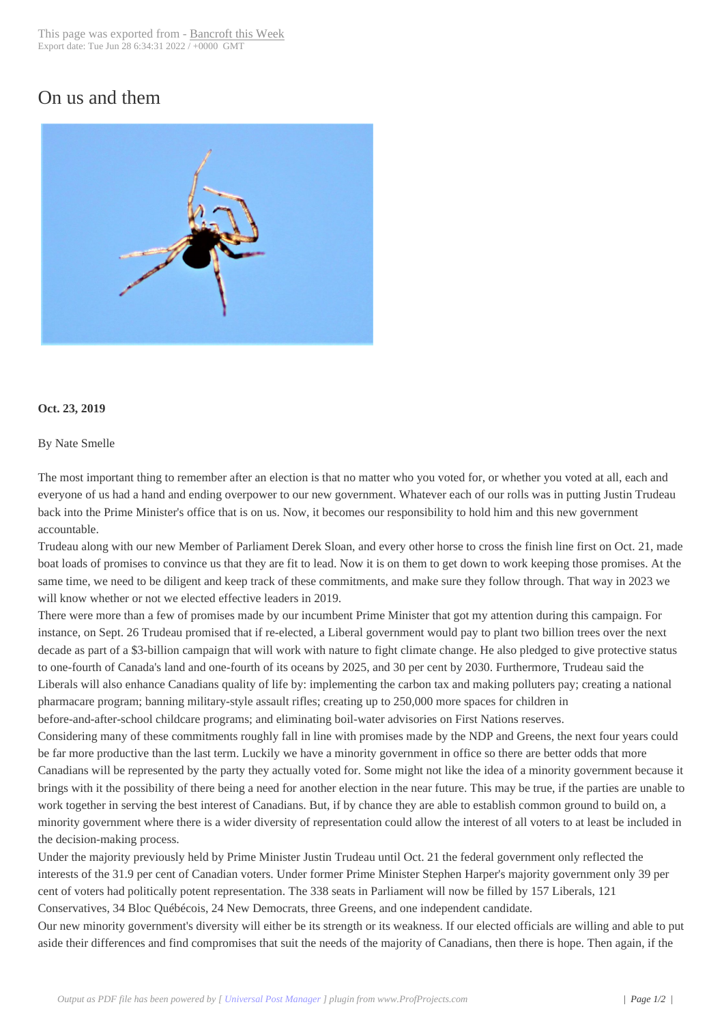## On us and them



## **Oct. 23, 2019**

## By Nate Smelle

The most important thing to remember after an election is that no matter who you voted for, or whether you voted at all, each and everyone of us had a hand and ending overpower to our new government. Whatever each of our rolls was in putting Justin Trudeau back into the Prime Minister's office that is on us. Now, it becomes our responsibility to hold him and this new government accountable.

Trudeau along with our new Member of Parliament Derek Sloan, and every other horse to cross the finish line first on Oct. 21, made boat loads of promises to convince us that they are fit to lead. Now it is on them to get down to work keeping those promises. At the same time, we need to be diligent and keep track of these commitments, and make sure they follow through. That way in 2023 we will know whether or not we elected effective leaders in 2019.

There were more than a few of promises made by our incumbent Prime Minister that got my attention during this campaign. For instance, on Sept. 26 Trudeau promised that if re-elected, a Liberal government would pay to plant two billion trees over the next decade as part of a \$3-billion campaign that will work with nature to fight climate change. He also pledged to give protective status to one-fourth of Canada's land and one-fourth of its oceans by 2025, and 30 per cent by 2030. Furthermore, Trudeau said the Liberals will also enhance Canadians quality of life by: implementing the carbon tax and making polluters pay; creating a national pharmacare program; banning military-style assault rifles; creating up to 250,000 more spaces for children in before-and-after-school childcare programs; and eliminating boil-water advisories on First Nations reserves.

Considering many of these commitments roughly fall in line with promises made by the NDP and Greens, the next four years could be far more productive than the last term. Luckily we have a minority government in office so there are better odds that more

Canadians will be represented by the party they actually voted for. Some might not like the idea of a minority government because it brings with it the possibility of there being a need for another election in the near future. This may be true, if the parties are unable to work together in serving the best interest of Canadians. But, if by chance they are able to establish common ground to build on, a minority government where there is a wider diversity of representation could allow the interest of all voters to at least be included in the decision-making process.

Under the majority previously held by Prime Minister Justin Trudeau until Oct. 21 the federal government only reflected the interests of the 31.9 per cent of Canadian voters. Under former Prime Minister Stephen Harper's majority government only 39 per cent of voters had politically potent representation. The 338 seats in Parliament will now be filled by 157 Liberals, 121 Conservatives, 34 Bloc Québécois, 24 New Democrats, three Greens, and one independent candidate.

Our new minority government's diversity will either be its strength or its weakness. If our elected officials are willing and able to put aside their differences and find compromises that suit the needs of the majority of Canadians, then there is hope. Then again, if the